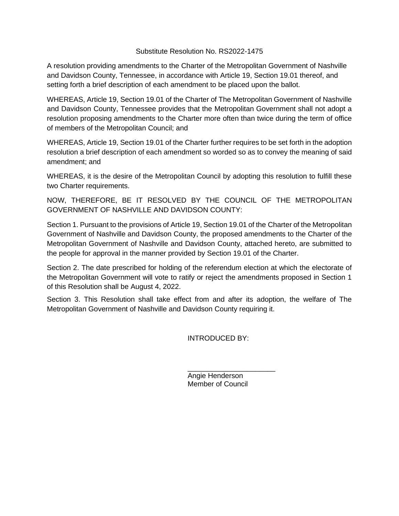#### Substitute Resolution No. RS2022-1475

A resolution providing amendments to the Charter of the Metropolitan Government of Nashville and Davidson County, Tennessee, in accordance with Article 19, Section 19.01 thereof, and setting forth a brief description of each amendment to be placed upon the ballot.

WHEREAS, Article 19, Section 19.01 of the Charter of The Metropolitan Government of Nashville and Davidson County, Tennessee provides that the Metropolitan Government shall not adopt a resolution proposing amendments to the Charter more often than twice during the term of office of members of the Metropolitan Council; and

WHEREAS, Article 19, Section 19.01 of the Charter further requires to be set forth in the adoption resolution a brief description of each amendment so worded so as to convey the meaning of said amendment; and

WHEREAS, it is the desire of the Metropolitan Council by adopting this resolution to fulfill these two Charter requirements.

NOW, THEREFORE, BE IT RESOLVED BY THE COUNCIL OF THE METROPOLITAN GOVERNMENT OF NASHVILLE AND DAVIDSON COUNTY:

Section 1. Pursuant to the provisions of Article 19, Section 19.01 of the Charter of the Metropolitan Government of Nashville and Davidson County, the proposed amendments to the Charter of the Metropolitan Government of Nashville and Davidson County, attached hereto, are submitted to the people for approval in the manner provided by Section 19.01 of the Charter.

Section 2. The date prescribed for holding of the referendum election at which the electorate of the Metropolitan Government will vote to ratify or reject the amendments proposed in Section 1 of this Resolution shall be August 4, 2022.

Section 3. This Resolution shall take effect from and after its adoption, the welfare of The Metropolitan Government of Nashville and Davidson County requiring it.

INTRODUCED BY:

\_\_\_\_\_\_\_\_\_\_\_\_\_\_\_\_\_\_\_\_\_\_ Angie Henderson Member of Council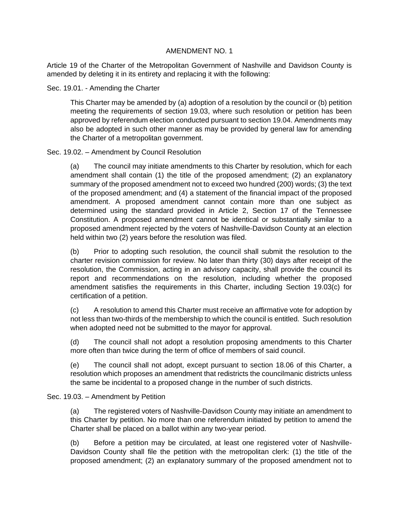Article 19 of the Charter of the Metropolitan Government of Nashville and Davidson County is amended by deleting it in its entirety and replacing it with the following:

#### Sec. 19.01. - Amending the Charter

This Charter may be amended by (a) adoption of a resolution by the council or (b) petition meeting the requirements of section 19.03, where such resolution or petition has been approved by referendum election conducted pursuant to section 19.04. Amendments may also be adopted in such other manner as may be provided by general law for amending the Charter of a metropolitan government.

# Sec. 19.02. – Amendment by Council Resolution

(a) The council may initiate amendments to this Charter by resolution, which for each amendment shall contain (1) the title of the proposed amendment; (2) an explanatory summary of the proposed amendment not to exceed two hundred (200) words; (3) the text of the proposed amendment; and (4) a statement of the financial impact of the proposed amendment. A proposed amendment cannot contain more than one subject as determined using the standard provided in Article 2, Section 17 of the Tennessee Constitution. A proposed amendment cannot be identical or substantially similar to a proposed amendment rejected by the voters of Nashville-Davidson County at an election held within two (2) years before the resolution was filed.

(b) Prior to adopting such resolution, the council shall submit the resolution to the charter revision commission for review. No later than thirty (30) days after receipt of the resolution, the Commission, acting in an advisory capacity, shall provide the council its report and recommendations on the resolution, including whether the proposed amendment satisfies the requirements in this Charter, including Section 19.03(c) for certification of a petition.

(c) A resolution to amend this Charter must receive an affirmative vote for adoption by not less than two-thirds of the membership to which the council is entitled. Such resolution when adopted need not be submitted to the mayor for approval.

(d) The council shall not adopt a resolution proposing amendments to this Charter more often than twice during the term of office of members of said council.

(e) The council shall not adopt, except pursuant to section 18.06 of this Charter, a resolution which proposes an amendment that redistricts the councilmanic districts unless the same be incidental to a proposed change in the number of such districts.

# Sec. 19.03. – Amendment by Petition

(a) The registered voters of Nashville-Davidson County may initiate an amendment to this Charter by petition. No more than one referendum initiated by petition to amend the Charter shall be placed on a ballot within any two-year period.

(b) Before a petition may be circulated, at least one registered voter of Nashville-Davidson County shall file the petition with the metropolitan clerk: (1) the title of the proposed amendment; (2) an explanatory summary of the proposed amendment not to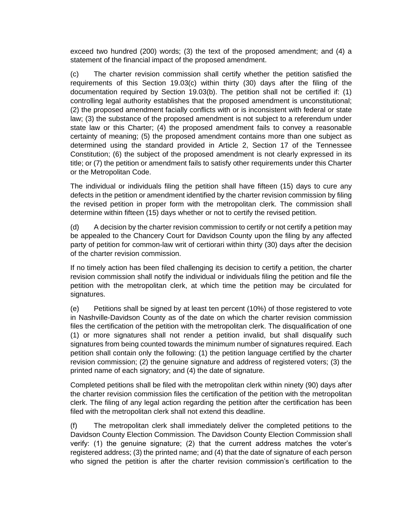exceed two hundred (200) words; (3) the text of the proposed amendment; and (4) a statement of the financial impact of the proposed amendment.

(c) The charter revision commission shall certify whether the petition satisfied the requirements of this Section 19.03(c) within thirty (30) days after the filing of the documentation required by Section 19.03(b). The petition shall not be certified if: (1) controlling legal authority establishes that the proposed amendment is unconstitutional; (2) the proposed amendment facially conflicts with or is inconsistent with federal or state law; (3) the substance of the proposed amendment is not subject to a referendum under state law or this Charter; (4) the proposed amendment fails to convey a reasonable certainty of meaning; (5) the proposed amendment contains more than one subject as determined using the standard provided in Article 2, Section 17 of the Tennessee Constitution; (6) the subject of the proposed amendment is not clearly expressed in its title; or (7) the petition or amendment fails to satisfy other requirements under this Charter or the Metropolitan Code.

The individual or individuals filing the petition shall have fifteen (15) days to cure any defects in the petition or amendment identified by the charter revision commission by filing the revised petition in proper form with the metropolitan clerk. The commission shall determine within fifteen (15) days whether or not to certify the revised petition.

(d) A decision by the charter revision commission to certify or not certify a petition may be appealed to the Chancery Court for Davidson County upon the filing by any affected party of petition for common-law writ of certiorari within thirty (30) days after the decision of the charter revision commission.

If no timely action has been filed challenging its decision to certify a petition, the charter revision commission shall notify the individual or individuals filing the petition and file the petition with the metropolitan clerk, at which time the petition may be circulated for signatures.

(e) Petitions shall be signed by at least ten percent (10%) of those registered to vote in Nashville-Davidson County as of the date on which the charter revision commission files the certification of the petition with the metropolitan clerk. The disqualification of one (1) or more signatures shall not render a petition invalid, but shall disqualify such signatures from being counted towards the minimum number of signatures required. Each petition shall contain only the following: (1) the petition language certified by the charter revision commission; (2) the genuine signature and address of registered voters; (3) the printed name of each signatory; and (4) the date of signature.

Completed petitions shall be filed with the metropolitan clerk within ninety (90) days after the charter revision commission files the certification of the petition with the metropolitan clerk. The filing of any legal action regarding the petition after the certification has been filed with the metropolitan clerk shall not extend this deadline.

(f) The metropolitan clerk shall immediately deliver the completed petitions to the Davidson County Election Commission. The Davidson County Election Commission shall verify: (1) the genuine signature; (2) that the current address matches the voter's registered address; (3) the printed name; and (4) that the date of signature of each person who signed the petition is after the charter revision commission's certification to the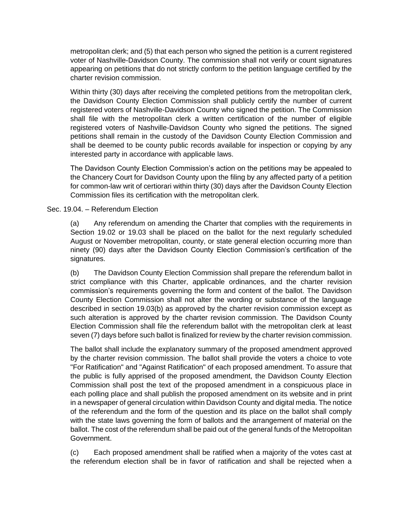metropolitan clerk; and (5) that each person who signed the petition is a current registered voter of Nashville-Davidson County. The commission shall not verify or count signatures appearing on petitions that do not strictly conform to the petition language certified by the charter revision commission.

Within thirty (30) days after receiving the completed petitions from the metropolitan clerk, the Davidson County Election Commission shall publicly certify the number of current registered voters of Nashville-Davidson County who signed the petition. The Commission shall file with the metropolitan clerk a written certification of the number of eligible registered voters of Nashville-Davidson County who signed the petitions. The signed petitions shall remain in the custody of the Davidson County Election Commission and shall be deemed to be county public records available for inspection or copying by any interested party in accordance with applicable laws.

The Davidson County Election Commission's action on the petitions may be appealed to the Chancery Court for Davidson County upon the filing by any affected party of a petition for common-law writ of certiorari within thirty (30) days after the Davidson County Election Commission files its certification with the metropolitan clerk.

# Sec. 19.04. – Referendum Election

(a) Any referendum on amending the Charter that complies with the requirements in Section 19.02 or 19.03 shall be placed on the ballot for the next regularly scheduled August or November metropolitan, county, or state general election occurring more than ninety (90) days after the Davidson County Election Commission's certification of the signatures.

(b) The Davidson County Election Commission shall prepare the referendum ballot in strict compliance with this Charter, applicable ordinances, and the charter revision commission's requirements governing the form and content of the ballot. The Davidson County Election Commission shall not alter the wording or substance of the language described in section 19.03(b) as approved by the charter revision commission except as such alteration is approved by the charter revision commission. The Davidson County Election Commission shall file the referendum ballot with the metropolitan clerk at least seven (7) days before such ballot is finalized for review by the charter revision commission.

The ballot shall include the explanatory summary of the proposed amendment approved by the charter revision commission. The ballot shall provide the voters a choice to vote "For Ratification" and "Against Ratification" of each proposed amendment. To assure that the public is fully apprised of the proposed amendment, the Davidson County Election Commission shall post the text of the proposed amendment in a conspicuous place in each polling place and shall publish the proposed amendment on its website and in print in a newspaper of general circulation within Davidson County and digital media. The notice of the referendum and the form of the question and its place on the ballot shall comply with the state laws governing the form of ballots and the arrangement of material on the ballot. The cost of the referendum shall be paid out of the general funds of the Metropolitan Government.

(c) Each proposed amendment shall be ratified when a majority of the votes cast at the referendum election shall be in favor of ratification and shall be rejected when a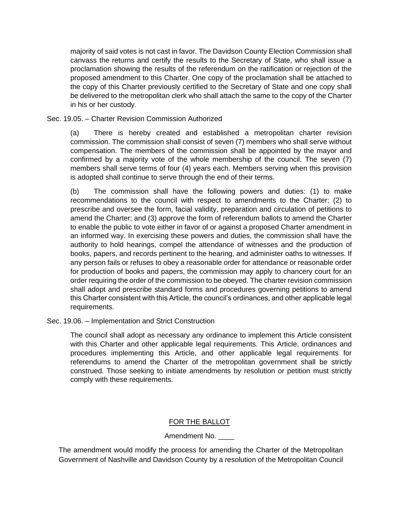majority of said votes is not cast in favor. The Davidson County Election Commission shall canvass the returns and certify the results to the Secretary of State, who shall issue a proclamation showing the results of the referendum on the ratification or rejection of the proposed amendment to this Charter. One copy of the proclamation shall be attached to the copy of this Charter previously certified to the Secretary of State and one copy shall be delivered to the metropolitan clerk who shall attach the same to the copy of the Charter in his or her custody.

Sec. 19.05. – Charter Revision Commission Authorized

(a) There is hereby created and established a metropolitan charter revision commission. The commission shall consist of seven (7) members who shall serve without compensation. The members of the commission shall be appointed by the mayor and confirmed by a majority vote of the whole membership of the council. The seven (7) members shall serve terms of four (4) years each. Members serving when this provision is adopted shall continue to serve through the end of their terms.

(b) The commission shall have the following powers and duties: (1) to make recommendations to the council with respect to amendments to the Charter; (2) to prescribe and oversee the form, facial validity, preparation and circulation of petitions to amend the Charter; and (3) approve the form of referendum ballots to amend the Charter to enable the public to vote either in favor of or against a proposed Charter amendment in an informed way. In exercising these powers and duties, the commission shall have the authority to hold hearings, compel the attendance of witnesses and the production of books, papers, and records pertinent to the hearing, and administer oaths to witnesses. If any person fails or refuses to obey a reasonable order for attendance or reasonable order for production of books and papers, the commission may apply to chancery court for an order requiring the order of the commission to be obeyed. The charter revision commission shall adopt and prescribe standard forms and procedures governing petitions to amend this Charter consistent with this Article, the council's ordinances, and other applicable legal requirements.

Sec. 19.06. – Implementation and Strict Construction

The council shall adopt as necessary any ordinance to implement this Article consistent with this Charter and other applicable legal requirements. This Article, ordinances and procedures implementing this Article, and other applicable legal requirements for referendums to amend the Charter of the metropolitan government shall be strictly construed. Those seeking to initiate amendments by resolution or petition must strictly comply with these requirements.

# FOR THE BALLOT

# Amendment No. \_\_\_\_

The amendment would modify the process for amending the Charter of the Metropolitan Government of Nashville and Davidson County by a resolution of the Metropolitan Council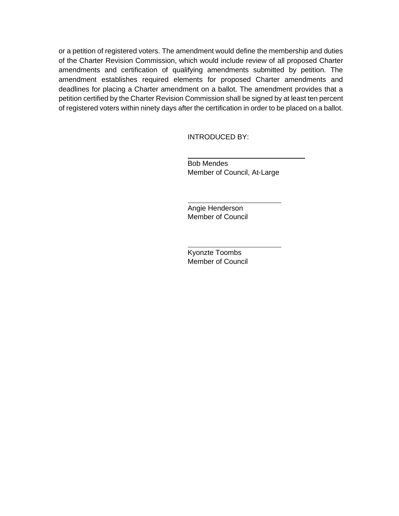or a petition of registered voters. The amendment would define the membership and duties of the Charter Revision Commission, which would include review of all proposed Charter amendments and certification of qualifying amendments submitted by petition. The amendment establishes required elements for proposed Charter amendments and deadlines for placing a Charter amendment on a ballot. The amendment provides that a petition certified by the Charter Revision Commission shall be signed by at least ten percent of registered voters within ninety days after the certification in order to be placed on a ballot.

INTRODUCED BY:

Bob Mendes Member of Council, At-Large

Angie Henderson Member of Council

Kyonzte Toombs Member of Council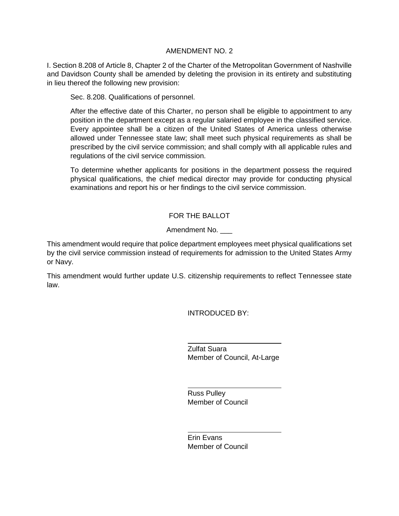I. Section 8.208 of Article 8, Chapter 2 of the Charter of the Metropolitan Government of Nashville and Davidson County shall be amended by deleting the provision in its entirety and substituting in lieu thereof the following new provision:

Sec. 8.208. Qualifications of personnel.

After the effective date of this Charter, no person shall be eligible to appointment to any position in the department except as a regular salaried employee in the classified service. Every appointee shall be a citizen of the United States of America unless otherwise allowed under Tennessee state law; shall meet such physical requirements as shall be prescribed by the civil service commission; and shall comply with all applicable rules and regulations of the civil service commission.

To determine whether applicants for positions in the department possess the required physical qualifications, the chief medical director may provide for conducting physical examinations and report his or her findings to the civil service commission.

# FOR THE BALLOT

# Amendment No.

This amendment would require that police department employees meet physical qualifications set by the civil service commission instead of requirements for admission to the United States Army or Navy.

This amendment would further update U.S. citizenship requirements to reflect Tennessee state law.

INTRODUCED BY:

Zulfat Suara Member of Council, At-Large

Russ Pulley Member of Council

Erin Evans Member of Council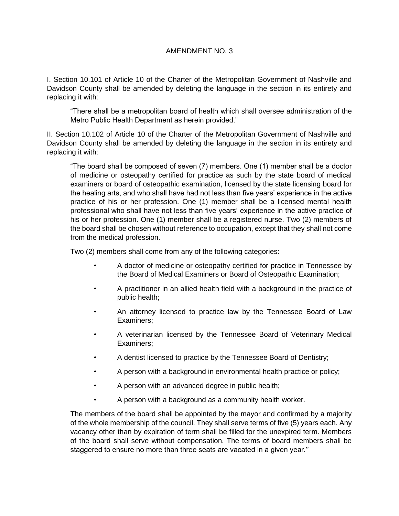I. Section 10.101 of Article 10 of the Charter of the Metropolitan Government of Nashville and Davidson County shall be amended by deleting the language in the section in its entirety and replacing it with:

"There shall be a metropolitan board of health which shall oversee administration of the Metro Public Health Department as herein provided."

II. Section 10.102 of Article 10 of the Charter of the Metropolitan Government of Nashville and Davidson County shall be amended by deleting the language in the section in its entirety and replacing it with:

"The board shall be composed of seven (7) members. One (1) member shall be a doctor of medicine or osteopathy certified for practice as such by the state board of medical examiners or board of osteopathic examination, licensed by the state licensing board for the healing arts, and who shall have had not less than five years' experience in the active practice of his or her profession. One (1) member shall be a licensed mental health professional who shall have not less than five years' experience in the active practice of his or her profession. One (1) member shall be a registered nurse. Two (2) members of the board shall be chosen without reference to occupation, except that they shall not come from the medical profession.

Two (2) members shall come from any of the following categories:

- A doctor of medicine or osteopathy certified for practice in Tennessee by the Board of Medical Examiners or Board of Osteopathic Examination;
- A practitioner in an allied health field with a background in the practice of public health;
- An attorney licensed to practice law by the Tennessee Board of Law Examiners;
- A veterinarian licensed by the Tennessee Board of Veterinary Medical Examiners;
- A dentist licensed to practice by the Tennessee Board of Dentistry;
- A person with a background in environmental health practice or policy;
- A person with an advanced degree in public health;
- A person with a background as a community health worker.

The members of the board shall be appointed by the mayor and confirmed by a majority of the whole membership of the council. They shall serve terms of five (5) years each. Any vacancy other than by expiration of term shall be filled for the unexpired term. Members of the board shall serve without compensation. The terms of board members shall be staggered to ensure no more than three seats are vacated in a given year.''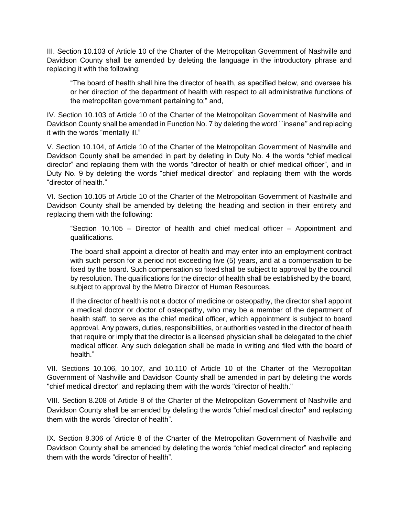III. Section 10.103 of Article 10 of the Charter of the Metropolitan Government of Nashville and Davidson County shall be amended by deleting the language in the introductory phrase and replacing it with the following:

"The board of health shall hire the director of health, as specified below, and oversee his or her direction of the department of health with respect to all administrative functions of the metropolitan government pertaining to;" and,

IV. Section 10.103 of Article 10 of the Charter of the Metropolitan Government of Nashville and Davidson County shall be amended in Function No. 7 by deleting the word ``insane'' and replacing it with the words "mentally ill."

V. Section 10.104, of Article 10 of the Charter of the Metropolitan Government of Nashville and Davidson County shall be amended in part by deleting in Duty No. 4 the words "chief medical director" and replacing them with the words "director of health or chief medical officer", and in Duty No. 9 by deleting the words "chief medical director" and replacing them with the words "director of health."

VI. Section 10.105 of Article 10 of the Charter of the Metropolitan Government of Nashville and Davidson County shall be amended by deleting the heading and section in their entirety and replacing them with the following:

"Section 10.105 – Director of health and chief medical officer – Appointment and qualifications.

The board shall appoint a director of health and may enter into an employment contract with such person for a period not exceeding five (5) years, and at a compensation to be fixed by the board. Such compensation so fixed shall be subject to approval by the council by resolution. The qualifications for the director of health shall be established by the board, subject to approval by the Metro Director of Human Resources.

If the director of health is not a doctor of medicine or osteopathy, the director shall appoint a medical doctor or doctor of osteopathy, who may be a member of the department of health staff, to serve as the chief medical officer, which appointment is subject to board approval. Any powers, duties, responsibilities, or authorities vested in the director of health that require or imply that the director is a licensed physician shall be delegated to the chief medical officer. Any such delegation shall be made in writing and filed with the board of health."

VII. Sections 10.106, 10.107, and 10.110 of Article 10 of the Charter of the Metropolitan Government of Nashville and Davidson County shall be amended in part by deleting the words "chief medical director" and replacing them with the words "director of health."

VIII. Section 8.208 of Article 8 of the Charter of the Metropolitan Government of Nashville and Davidson County shall be amended by deleting the words "chief medical director" and replacing them with the words "director of health".

IX. Section 8.306 of Article 8 of the Charter of the Metropolitan Government of Nashville and Davidson County shall be amended by deleting the words "chief medical director" and replacing them with the words "director of health".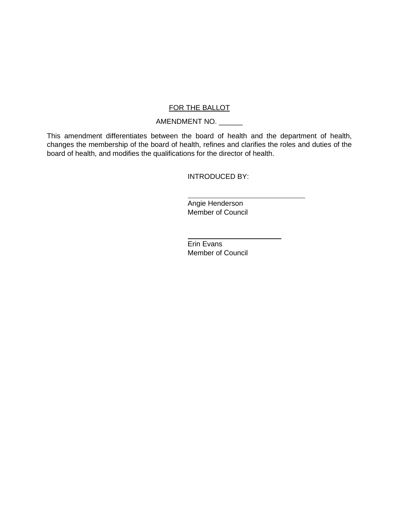# FOR THE BALLOT

# AMENDMENT NO. \_\_\_\_\_\_

This amendment differentiates between the board of health and the department of health, changes the membership of the board of health, refines and clarifies the roles and duties of the board of health, and modifies the qualifications for the director of health.

INTRODUCED BY:

Angie Henderson Member of Council

Erin Evans Member of Council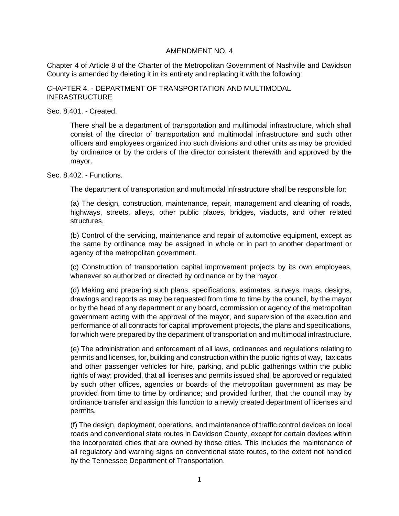Chapter 4 of Article 8 of the Charter of the Metropolitan Government of Nashville and Davidson County is amended by deleting it in its entirety and replacing it with the following:

#### CHAPTER 4. - DEPARTMENT OF TRANSPORTATION AND MULTIMODAL INFRASTRUCTURE

#### Sec. 8.401. - Created.

There shall be a department of transportation and multimodal infrastructure, which shall consist of the director of transportation and multimodal infrastructure and such other officers and employees organized into such divisions and other units as may be provided by ordinance or by the orders of the director consistent therewith and approved by the mayor.

#### Sec. 8.402. - Functions.

The department of transportation and multimodal infrastructure shall be responsible for:

(a) The design, construction, maintenance, repair, management and cleaning of roads, highways, streets, alleys, other public places, bridges, viaducts, and other related structures.

(b) Control of the servicing, maintenance and repair of automotive equipment, except as the same by ordinance may be assigned in whole or in part to another department or agency of the metropolitan government.

(c) Construction of transportation capital improvement projects by its own employees, whenever so authorized or directed by ordinance or by the mayor.

(d) Making and preparing such plans, specifications, estimates, surveys, maps, designs, drawings and reports as may be requested from time to time by the council, by the mayor or by the head of any department or any board, commission or agency of the metropolitan government acting with the approval of the mayor, and supervision of the execution and performance of all contracts for capital improvement projects, the plans and specifications, for which were prepared by the department of transportation and multimodal infrastructure.

(e) The administration and enforcement of all laws, ordinances and regulations relating to permits and licenses, for, building and construction within the public rights of way, taxicabs and other passenger vehicles for hire, parking, and public gatherings within the public rights of way; provided, that all licenses and permits issued shall be approved or regulated by such other offices, agencies or boards of the metropolitan government as may be provided from time to time by ordinance; and provided further, that the council may by ordinance transfer and assign this function to a newly created department of licenses and permits.

(f) The design, deployment, operations, and maintenance of traffic control devices on local roads and conventional state routes in Davidson County, except for certain devices within the incorporated cities that are owned by those cities. This includes the maintenance of all regulatory and warning signs on conventional state routes, to the extent not handled by the Tennessee Department of Transportation.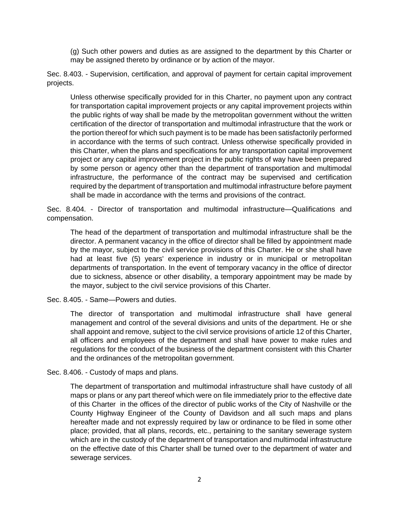(g) Such other powers and duties as are assigned to the department by this Charter or may be assigned thereto by ordinance or by action of the mayor.

Sec. 8.403. - Supervision, certification, and approval of payment for certain capital improvement projects.

Unless otherwise specifically provided for in this Charter, no payment upon any contract for transportation capital improvement projects or any capital improvement projects within the public rights of way shall be made by the metropolitan government without the written certification of the director of transportation and multimodal infrastructure that the work or the portion thereof for which such payment is to be made has been satisfactorily performed in accordance with the terms of such contract. Unless otherwise specifically provided in this Charter, when the plans and specifications for any transportation capital improvement project or any capital improvement project in the public rights of way have been prepared by some person or agency other than the department of transportation and multimodal infrastructure, the performance of the contract may be supervised and certification required by the department of transportation and multimodal infrastructure before payment shall be made in accordance with the terms and provisions of the contract.

Sec. 8.404. - Director of transportation and multimodal infrastructure—Qualifications and compensation.

The head of the department of transportation and multimodal infrastructure shall be the director. A permanent vacancy in the office of director shall be filled by appointment made by the mayor, subject to the civil service provisions of this Charter. He or she shall have had at least five (5) years' experience in industry or in municipal or metropolitan departments of transportation. In the event of temporary vacancy in the office of director due to sickness, absence or other disability, a temporary appointment may be made by the mayor, subject to the civil service provisions of this Charter.

Sec. 8.405. - Same—Powers and duties.

The director of transportation and multimodal infrastructure shall have general management and control of the several divisions and units of the department. He or she shall appoint and remove, subject to the civil service provisions of article 12 of this Charter, all officers and employees of the department and shall have power to make rules and regulations for the conduct of the business of the department consistent with this Charter and the ordinances of the metropolitan government.

Sec. 8.406. - Custody of maps and plans.

The department of transportation and multimodal infrastructure shall have custody of all maps or plans or any part thereof which were on file immediately prior to the effective date of this Charter in the offices of the director of public works of the City of Nashville or the County Highway Engineer of the County of Davidson and all such maps and plans hereafter made and not expressly required by law or ordinance to be filed in some other place; provided, that all plans, records, etc., pertaining to the sanitary sewerage system which are in the custody of the department of transportation and multimodal infrastructure on the effective date of this Charter shall be turned over to the department of water and sewerage services.